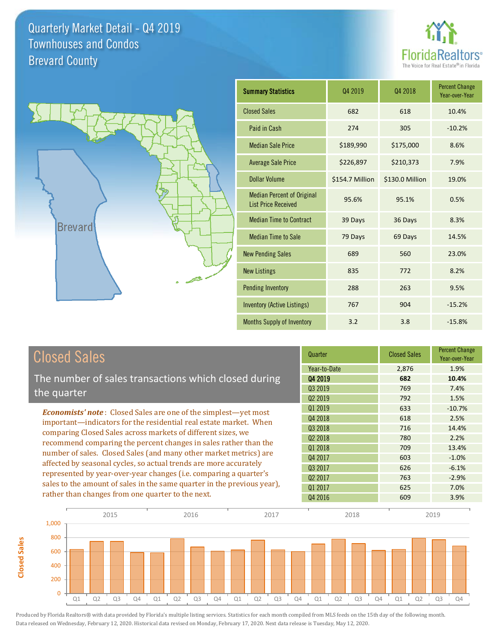



**Closed Sales**

**Closed Sales** 

| <b>Summary Statistics</b>                                       | Q4 2019         | 04 2018         | <b>Percent Change</b><br>Year-over-Year |
|-----------------------------------------------------------------|-----------------|-----------------|-----------------------------------------|
| <b>Closed Sales</b>                                             | 682             | 618             | 10.4%                                   |
| Paid in Cash                                                    | 274             | 305             | $-10.2%$                                |
| <b>Median Sale Price</b>                                        | \$189,990       | \$175,000       | 8.6%                                    |
| <b>Average Sale Price</b>                                       | \$226,897       | \$210,373       | 7.9%                                    |
| Dollar Volume                                                   | \$154.7 Million | \$130.0 Million | 19.0%                                   |
| <b>Median Percent of Original</b><br><b>List Price Received</b> | 95.6%           | 95.1%           | 0.5%                                    |
| <b>Median Time to Contract</b>                                  | 39 Days         | 36 Days         | 8.3%                                    |
| <b>Median Time to Sale</b>                                      | 79 Days         | 69 Days         | 14.5%                                   |
| <b>New Pending Sales</b>                                        | 689             | 560             | 23.0%                                   |
| <b>New Listings</b>                                             | 835             | 772             | 8.2%                                    |
| <b>Pending Inventory</b>                                        | 288             | 263             | 9.5%                                    |
| <b>Inventory (Active Listings)</b>                              | 767             | 904             | $-15.2%$                                |
| Months Supply of Inventory                                      | 3.2             | 3.8             | $-15.8%$                                |

| <b>Closed Sales</b>                                                                                                                                                                                                                                                                                                                                                                                                                                                                                                                                  | Quarter             | <b>Closed Sales</b> | <b>Percent Change</b><br>Year-over-Year |
|------------------------------------------------------------------------------------------------------------------------------------------------------------------------------------------------------------------------------------------------------------------------------------------------------------------------------------------------------------------------------------------------------------------------------------------------------------------------------------------------------------------------------------------------------|---------------------|---------------------|-----------------------------------------|
|                                                                                                                                                                                                                                                                                                                                                                                                                                                                                                                                                      | Year-to-Date        | 2,876               | 1.9%                                    |
| The number of sales transactions which closed during                                                                                                                                                                                                                                                                                                                                                                                                                                                                                                 | Q4 2019             | 682                 | 10.4%                                   |
| the quarter                                                                                                                                                                                                                                                                                                                                                                                                                                                                                                                                          | Q3 2019             | 769                 | 7.4%                                    |
|                                                                                                                                                                                                                                                                                                                                                                                                                                                                                                                                                      | Q <sub>2</sub> 2019 | 792                 | 1.5%                                    |
| <b>Economists' note:</b> Closed Sales are one of the simplest—yet most                                                                                                                                                                                                                                                                                                                                                                                                                                                                               | 01 2019             | 633                 | $-10.7%$                                |
| important-indicators for the residential real estate market. When<br>comparing Closed Sales across markets of different sizes, we<br>recommend comparing the percent changes in sales rather than the<br>number of sales. Closed Sales (and many other market metrics) are<br>affected by seasonal cycles, so actual trends are more accurately<br>represented by year-over-year changes (i.e. comparing a quarter's<br>sales to the amount of sales in the same quarter in the previous year),<br>rather than changes from one quarter to the next. | Q4 2018             | 618                 | 2.5%                                    |
|                                                                                                                                                                                                                                                                                                                                                                                                                                                                                                                                                      | Q3 2018             | 716                 | 14.4%                                   |
|                                                                                                                                                                                                                                                                                                                                                                                                                                                                                                                                                      | Q <sub>2</sub> 2018 | 780                 | 2.2%                                    |
|                                                                                                                                                                                                                                                                                                                                                                                                                                                                                                                                                      | 01 2018             | 709                 | 13.4%                                   |
|                                                                                                                                                                                                                                                                                                                                                                                                                                                                                                                                                      | Q4 2017             | 603                 | $-1.0%$                                 |
|                                                                                                                                                                                                                                                                                                                                                                                                                                                                                                                                                      | Q3 2017             | 626                 | $-6.1%$                                 |
|                                                                                                                                                                                                                                                                                                                                                                                                                                                                                                                                                      | Q <sub>2</sub> 2017 | 763                 | $-2.9%$                                 |
|                                                                                                                                                                                                                                                                                                                                                                                                                                                                                                                                                      | Q1 2017             | 625                 | 7.0%                                    |
|                                                                                                                                                                                                                                                                                                                                                                                                                                                                                                                                                      | Q4 2016             | 609                 | 3.9%                                    |

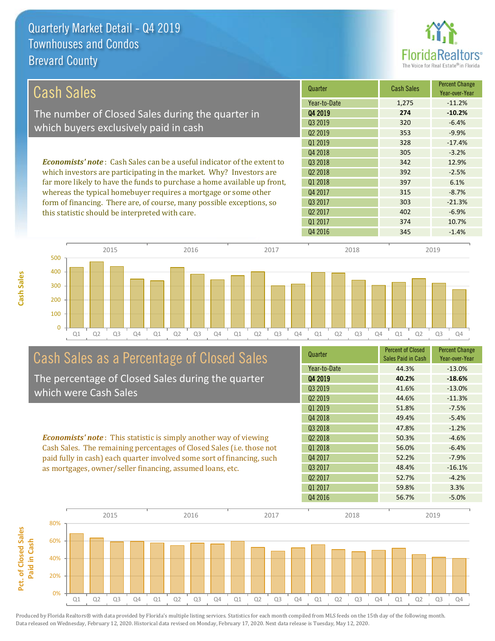

| Cash Sales                                                                     | Quarter             | <b>Cash Sales</b> | <b>Percent Change</b><br>Year-over-Year |
|--------------------------------------------------------------------------------|---------------------|-------------------|-----------------------------------------|
|                                                                                | Year-to-Date        | 1,275             | $-11.2%$                                |
| The number of Closed Sales during the quarter in                               | Q4 2019             | 274               | $-10.2%$                                |
| which buyers exclusively paid in cash                                          | 03 2019             | 320               | $-6.4%$                                 |
|                                                                                | 02 2019             | 353               | $-9.9%$                                 |
|                                                                                | 01 2019             | 328               | $-17.4%$                                |
|                                                                                | Q4 2018             | 305               | $-3.2%$                                 |
| <b>Economists' note:</b> Cash Sales can be a useful indicator of the extent to | 03 2018             | 342               | 12.9%                                   |
| which investors are participating in the market. Why? Investors are            | 02 2018             | 392               | $-2.5%$                                 |
| far more likely to have the funds to purchase a home available up front,       | 01 2018             | 397               | 6.1%                                    |
| whereas the typical homebuyer requires a mortgage or some other                | Q4 2017             | 315               | $-8.7%$                                 |
| form of financing. There are, of course, many possible exceptions, so          | Q3 2017             | 303               | $-21.3%$                                |
| this statistic should be interpreted with care.                                | Q <sub>2</sub> 2017 | 402               | $-6.9%$                                 |
|                                                                                | Q1 2017             | 374               | 10.7%                                   |



# Cash Sales as a Percentage of Closed Sales

The percentage of Closed Sales during the quarter which were Cash Sales

*Economists' note* : This statistic is simply another way of viewing Cash Sales. The remaining percentages of Closed Sales (i.e. those not paid fully in cash) each quarter involved some sort of financing, such as mortgages, owner/seller financing, assumed loans, etc.

| Quarter             | <b>Percent of Closed</b><br>Sales Paid in Cash | <b>Percent Change</b><br>Year-over-Year |
|---------------------|------------------------------------------------|-----------------------------------------|
| Year-to-Date        | 44.3%                                          | $-13.0%$                                |
| Q4 2019             | 40.2%                                          | $-18.6%$                                |
| 03 2019             | 41.6%                                          | $-13.0%$                                |
| Q <sub>2</sub> 2019 | 44.6%                                          | $-11.3%$                                |
| 01 2019             | 51.8%                                          | $-7.5%$                                 |
| Q4 2018             | 49.4%                                          | $-5.4%$                                 |
| Q3 2018             | 47.8%                                          | $-1.2%$                                 |
| Q <sub>2</sub> 2018 | 50.3%                                          | $-4.6%$                                 |
| 01 2018             | 56.0%                                          | $-6.4%$                                 |
| Q4 2017             | 52.2%                                          | $-7.9%$                                 |
| Q3 2017             | 48.4%                                          | $-16.1%$                                |
| Q <sub>2</sub> 2017 | 52.7%                                          | $-4.2%$                                 |
| Q1 2017             | 59.8%                                          | 3.3%                                    |
| Q4 2016             | 56.7%                                          | $-5.0%$                                 |

Q4 2016 345 -1.4%

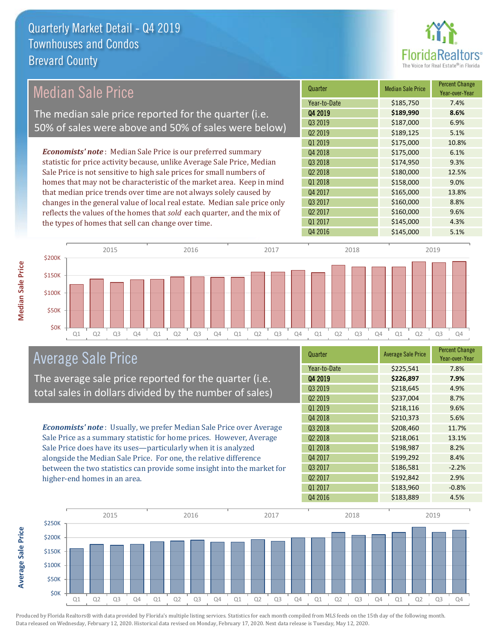

## Median Sale Price

The median sale price reported for the quarter (i.e. 50% of sales were above and 50% of sales were below)

*Economists' note* : Median Sale Price is our preferred summary statistic for price activity because, unlike Average Sale Price, Median Sale Price is not sensitive to high sale prices for small numbers of homes that may not be characteristic of the market area. Keep in mind that median price trends over time are not always solely caused by changes in the general value of local real estate. Median sale price only reflects the values of the homes that *sold* each quarter, and the mix of the types of homes that sell can change over time.

| Quarter             | <b>Median Sale Price</b> | <b>Percent Change</b><br>Year-over-Year |
|---------------------|--------------------------|-----------------------------------------|
| Year-to-Date        | \$185,750                | 7.4%                                    |
| Q4 2019             | \$189,990                | 8.6%                                    |
| Q3 2019             | \$187,000                | 6.9%                                    |
| Q <sub>2</sub> 2019 | \$189,125                | 5.1%                                    |
| Q1 2019             | \$175,000                | 10.8%                                   |
| Q4 2018             | \$175,000                | 6.1%                                    |
| Q3 2018             | \$174,950                | 9.3%                                    |
| Q <sub>2</sub> 2018 | \$180,000                | 12.5%                                   |
| Q1 2018             | \$158,000                | 9.0%                                    |
| Q4 2017             | \$165,000                | 13.8%                                   |
| Q3 2017             | \$160,000                | 8.8%                                    |
| Q <sub>2</sub> 2017 | \$160,000                | 9.6%                                    |
| Q1 2017             | \$145,000                | 4.3%                                    |
| Q4 2016             | \$145,000                | 5.1%                                    |



#### Average Sale Price

The average sale price reported for the quarter (i.e. total sales in dollars divided by the number of sales)

*Economists' note* : Usually, we prefer Median Sale Price over Average Sale Price as a summary statistic for home prices. However, Average Sale Price does have its uses—particularly when it is analyzed alongside the Median Sale Price. For one, the relative difference between the two statistics can provide some insight into the market for higher-end homes in an area.

| Quarter             | <b>Average Sale Price</b> | <b>Percent Change</b><br>Year-over-Year |
|---------------------|---------------------------|-----------------------------------------|
| Year-to-Date        | \$225,541                 | 7.8%                                    |
| Q4 2019             | \$226,897                 | 7.9%                                    |
| Q3 2019             | \$218,645                 | 4.9%                                    |
| Q <sub>2</sub> 2019 | \$237,004                 | 8.7%                                    |
| Q1 2019             | \$218,116                 | 9.6%                                    |
| Q4 2018             | \$210,373                 | 5.6%                                    |
| Q3 2018             | \$208,460                 | 11.7%                                   |
| Q <sub>2</sub> 2018 | \$218,061                 | 13.1%                                   |
| Q1 2018             | \$198,987                 | 8.2%                                    |
| Q4 2017             | \$199,292                 | 8.4%                                    |
| Q3 2017             | \$186,581                 | $-2.2%$                                 |
| Q <sub>2</sub> 2017 | \$192,842                 | 2.9%                                    |
| 01 2017             | \$183,960                 | $-0.8%$                                 |
| Q4 2016             | \$183,889                 | 4.5%                                    |
|                     |                           |                                         |



Produced by Florida Realtors® with data provided by Florida's multiple listing services. Statistics for each month compiled from MLS feeds on the 15th day of the following month. Data released on Wednesday, February 12, 2020. Historical data revised on Monday, February 17, 2020. Next data release is Tuesday, May 12, 2020.

**Average Sale Price**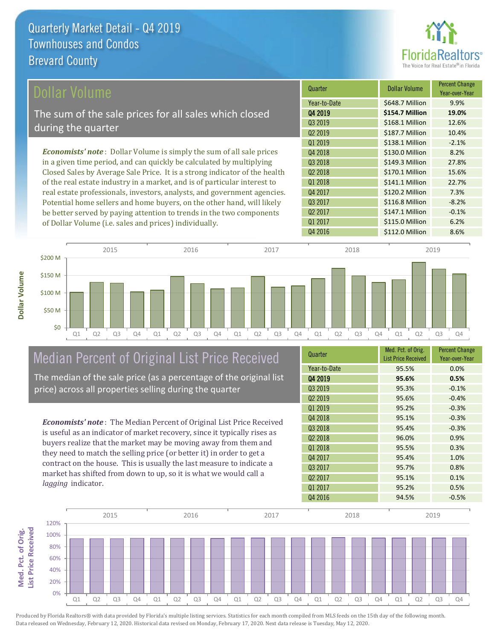

| Dollar Volume                                                                | Quarter             | Dollar Volume   | <b>Percent Change</b><br>Year-over-Year |
|------------------------------------------------------------------------------|---------------------|-----------------|-----------------------------------------|
|                                                                              | Year-to-Date        | \$648.7 Million | 9.9%                                    |
| The sum of the sale prices for all sales which closed                        | Q4 2019             | \$154.7 Million | 19.0%                                   |
| during the quarter                                                           | 03 2019             | \$168.1 Million | 12.6%                                   |
|                                                                              | Q <sub>2</sub> 2019 | \$187.7 Million | 10.4%                                   |
|                                                                              | 01 2019             | \$138.1 Million | $-2.1%$                                 |
| <b>Economists' note</b> : Dollar Volume is simply the sum of all sale prices | Q4 2018             | \$130.0 Million | 8.2%                                    |
| in a given time period, and can quickly be calculated by multiplying         | 03 2018             | \$149.3 Million | 27.8%                                   |
| Closed Sales by Average Sale Price. It is a strong indicator of the health   | Q <sub>2</sub> 2018 | \$170.1 Million | 15.6%                                   |
| of the real estate industry in a market, and is of particular interest to    | Q1 2018             | \$141.1 Million | 22.7%                                   |
| real estate professionals, investors, analysts, and government agencies.     | Q4 2017             | \$120.2 Million | 7.3%                                    |
| Potential home sellers and home buyers, on the other hand, will likely       | Q3 2017             | \$116.8 Million | $-8.2%$                                 |
| be better served by paying attention to trends in the two components         | Q <sub>2</sub> 2017 | \$147.1 Million | $-0.1%$                                 |
| of Dollar Volume (i.e. sales and prices) individually.                       | Q1 2017             | \$115.0 Million | 6.2%                                    |



## Median Percent of Original List Price Received

The median of the sale price (as a percentage of the original list price) across all properties selling during the quarter

*Economists' note* : The Median Percent of Original List Price Received is useful as an indicator of market recovery, since it typically rises as buyers realize that the market may be moving away from them and they need to match the selling price (or better it) in order to get a contract on the house. This is usually the last measure to indicate a market has shifted from down to up, so it is what we would call a *lagging* indicator.

| Quarter             | Med. Pct. of Orig.<br><b>List Price Received</b> | <b>Percent Change</b><br>Year-over-Year |
|---------------------|--------------------------------------------------|-----------------------------------------|
| Year-to-Date        | 95.5%                                            | 0.0%                                    |
| Q4 2019             | 95.6%                                            | 0.5%                                    |
| Q3 2019             | 95.3%                                            | $-0.1%$                                 |
| Q <sub>2</sub> 2019 | 95.6%                                            | $-0.4%$                                 |
| 01 2019             | 95.2%                                            | $-0.3%$                                 |
| Q4 2018             | 95.1%                                            | $-0.3%$                                 |
| Q3 2018             | 95.4%                                            | $-0.3%$                                 |
| Q <sub>2</sub> 2018 | 96.0%                                            | 0.9%                                    |
| Q1 2018             | 95.5%                                            | 0.3%                                    |
| Q4 2017             | 95.4%                                            | 1.0%                                    |
| Q3 2017             | 95.7%                                            | 0.8%                                    |
| Q <sub>2</sub> 2017 | 95.1%                                            | 0.1%                                    |
| Q1 2017             | 95.2%                                            | 0.5%                                    |
| Q4 2016             | 94.5%                                            | $-0.5%$                                 |

Q4 2016 **\$112.0 Million 8.6%** 

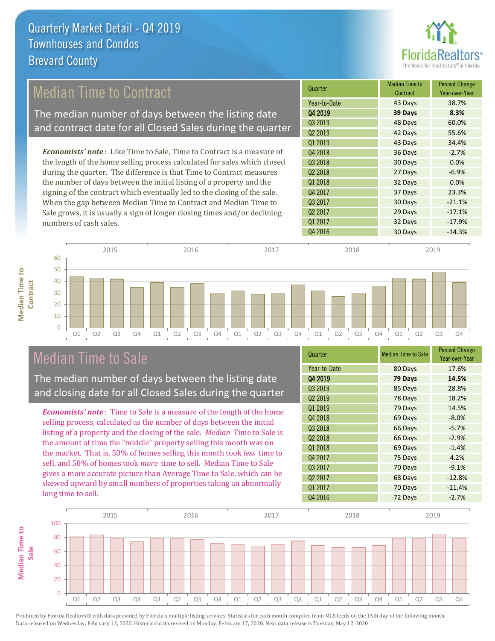

### Median Time to Contract

The median number of days between the listing date and contract date for all Closed Sales during the quarter

*Economists' note* : Like Time to Sale, Time to Contract is a measure of the length of the home selling process calculated for sales which closed during the quarter. The difference is that Time to Contract measures the number of days between the initial listing of a property and the signing of the contract which eventually led to the closing of the sale. When the gap between Median Time to Contract and Median Time to Sale grows, it is usually a sign of longer closing times and/or declining numbers of cash sales.

| Quarter             | <b>Median Time to</b><br>Contract | <b>Percent Change</b><br>Year-over-Year |
|---------------------|-----------------------------------|-----------------------------------------|
| Year-to-Date        | 43 Days                           | 38.7%                                   |
| Q4 2019             | 39 Days                           | 8.3%                                    |
| Q3 2019             | 48 Days                           | 60.0%                                   |
| Q <sub>2</sub> 2019 | 42 Days                           | 55.6%                                   |
| Q1 2019             | 43 Days                           | 34.4%                                   |
| Q4 2018             | 36 Days                           | $-2.7%$                                 |
| Q3 2018             | 30 Days                           | 0.0%                                    |
| Q <sub>2</sub> 2018 | 27 Days                           | $-6.9%$                                 |
| Q1 2018             | 32 Days                           | 0.0%                                    |
| Q4 2017             | 37 Days                           | 23.3%                                   |
| Q3 2017             | 30 Days                           | $-21.1%$                                |
| Q <sub>2</sub> 2017 | 29 Days                           | $-17.1%$                                |
| Q1 2017             | 32 Days                           | $-17.9%$                                |
| Q4 2016             | 30 Days                           | $-14.3%$                                |



### Median Time to Sale

**Median Time to** 

**Median Time to** 

The median number of days between the listing date and closing date for all Closed Sales during the quarter

*Economists' note* : Time to Sale is a measure of the length of the home selling process, calculated as the number of days between the initial listing of a property and the closing of the sale. *Median* Time to Sale is the amount of time the "middle" property selling this month was on the market. That is, 50% of homes selling this month took *less* time to sell, and 50% of homes took *more* time to sell. Median Time to Sale gives a more accurate picture than Average Time to Sale, which can be skewed upward by small numbers of properties taking an abnormally long time to sell.

| Quarter             | <b>Median Time to Sale</b> | <b>Percent Change</b><br>Year-over-Year |
|---------------------|----------------------------|-----------------------------------------|
| Year-to-Date        | 80 Days                    | 17.6%                                   |
| Q4 2019             | 79 Days                    | 14.5%                                   |
| Q3 2019             | 85 Days                    | 28.8%                                   |
| Q <sub>2</sub> 2019 | 78 Days                    | 18.2%                                   |
| Q1 2019             | 79 Days                    | 14.5%                                   |
| Q4 2018             | 69 Days                    | $-8.0%$                                 |
| Q3 2018             | 66 Days                    | $-5.7%$                                 |
| Q <sub>2</sub> 2018 | 66 Days                    | $-2.9%$                                 |
| Q1 2018             | 69 Days                    | $-1.4%$                                 |
| Q4 2017             | 75 Days                    | 4.2%                                    |
| Q3 2017             | 70 Days                    | $-9.1%$                                 |
| Q <sub>2</sub> 2017 | 68 Days                    | $-12.8%$                                |
| Q1 2017             | 70 Days                    | $-11.4%$                                |
| Q4 2016             | 72 Days                    | $-2.7%$                                 |

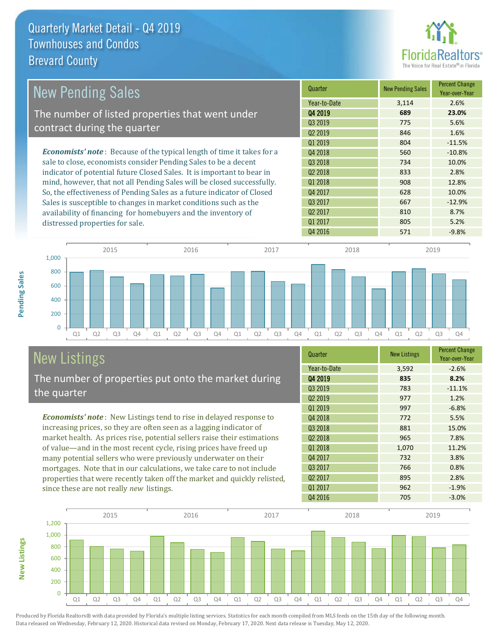

| <b>New Pending Sales</b>                                                      | Quarter             | <b>New Pending Sales</b> | <b>Percent Change</b><br>Year-over-Year |
|-------------------------------------------------------------------------------|---------------------|--------------------------|-----------------------------------------|
|                                                                               | Year-to-Date        | 3,114                    | 2.6%                                    |
| The number of listed properties that went under                               | Q4 2019             | 689                      | 23.0%                                   |
|                                                                               | Q3 2019             | 775                      | 5.6%                                    |
| contract during the quarter                                                   | Q <sub>2</sub> 2019 | 846                      | 1.6%                                    |
|                                                                               | Q1 2019             | 804                      | $-11.5%$                                |
| <b>Economists' note:</b> Because of the typical length of time it takes for a | Q4 2018             | 560                      | $-10.8%$                                |
| sale to close, economists consider Pending Sales to be a decent               | Q3 2018             | 734                      | 10.0%                                   |
| indicator of potential future Closed Sales. It is important to bear in        | Q <sub>2</sub> 2018 | 833                      | 2.8%                                    |
| mind, however, that not all Pending Sales will be closed successfully.        | Q1 2018             | 908                      | 12.8%                                   |
| So, the effectiveness of Pending Sales as a future indicator of Closed        | Q4 2017             | 628                      | 10.0%                                   |
| Sales is susceptible to changes in market conditions such as the              | Q3 2017             | 667                      | $-12.9%$                                |
| availability of financing for homebuyers and the inventory of                 | Q <sub>2</sub> 2017 | 810                      | 8.7%                                    |
| distressed properties for sale.                                               | Q1 2017             | 805                      | 5.2%                                    |



# New Listings

**New Listings**

**Pending Sales**

Pending Sales

The number of properties put onto the market during the quarter

*Economists' note* : New Listings tend to rise in delayed response to increasing prices, so they are often seen as a lagging indicator of market health. As prices rise, potential sellers raise their estimations of value—and in the most recent cycle, rising prices have freed up many potential sellers who were previously underwater on their mortgages. Note that in our calculations, we take care to not include properties that were recently taken off the market and quickly relisted, since these are not really *new* listings.

| Quarter             | <b>New Listings</b> | <b>Percent Change</b><br>Year-over-Year |
|---------------------|---------------------|-----------------------------------------|
| Year-to-Date        | 3,592               | $-2.6%$                                 |
| 04 2019             | 835                 | 8.2%                                    |
| Q3 2019             | 783                 | $-11.1%$                                |
| Q <sub>2</sub> 2019 | 977                 | 1.2%                                    |
| Q1 2019             | 997                 | $-6.8%$                                 |
| Q4 2018             | 772                 | 5.5%                                    |
| Q3 2018             | 881                 | 15.0%                                   |
| Q <sub>2</sub> 2018 | 965                 | 7.8%                                    |
| Q1 2018             | 1,070               | 11.2%                                   |
| Q4 2017             | 732                 | 3.8%                                    |
| Q3 2017             | 766                 | 0.8%                                    |
| Q <sub>2</sub> 2017 | 895                 | 2.8%                                    |
| 01 2017             | 962                 | $-1.9%$                                 |
| Q4 2016             | 705                 | $-3.0%$                                 |

Q4 2016 571 -9.8%

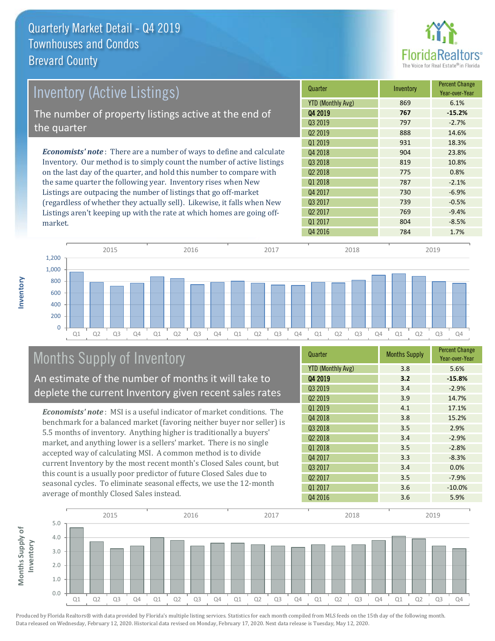

| <b>Inventory (Active Listings)</b>                                           | Quarter                  | Inventory | <b>Percent Change</b><br>Year-over-Year |
|------------------------------------------------------------------------------|--------------------------|-----------|-----------------------------------------|
|                                                                              | <b>YTD (Monthly Avg)</b> | 869       | 6.1%                                    |
| The number of property listings active at the end of                         | Q4 2019                  | 767       | $-15.2%$                                |
|                                                                              | Q3 2019                  | 797       | $-2.7%$                                 |
| the quarter                                                                  | Q <sub>2</sub> 2019      | 888       | 14.6%                                   |
|                                                                              | 01 2019                  | 931       | 18.3%                                   |
| <b>Economists' note</b> : There are a number of ways to define and calculate | 04 2018                  | 904       | 23.8%                                   |
| Inventory. Our method is to simply count the number of active listings       | Q3 2018                  | 819       | 10.8%                                   |
| on the last day of the quarter, and hold this number to compare with         | Q <sub>2</sub> 2018      | 775       | 0.8%                                    |
| the same quarter the following year. Inventory rises when New                | 01 2018                  | 787       | $-2.1%$                                 |
| Listings are outpacing the number of listings that go off-market             | Q4 2017                  | 730       | $-6.9%$                                 |
| (regardless of whether they actually sell). Likewise, it falls when New      | Q3 2017                  | 739       | $-0.5%$                                 |
| Listings aren't keeping up with the rate at which homes are going off-       | Q <sub>2</sub> 2017      | 769       | $-9.4%$                                 |



## Months Supply of Inventory

An estimate of the number of months it will take to deplete the current Inventory given recent sales rates

*Economists' note* : MSI is a useful indicator of market conditions. The benchmark for a balanced market (favoring neither buyer nor seller) is 5.5 months of inventory. Anything higher is traditionally a buyers' market, and anything lower is a sellers' market. There is no single accepted way of calculating MSI. A common method is to divide current Inventory by the most recent month's Closed Sales count, but this count is a usually poor predictor of future Closed Sales due to seasonal cycles. To eliminate seasonal effects, we use the 12-month average of monthly Closed Sales instead.

| Quarter                  | <b>Months Supply</b> | <b>Percent Change</b><br>Year-over-Year |
|--------------------------|----------------------|-----------------------------------------|
| <b>YTD (Monthly Avg)</b> | 3.8                  | 5.6%                                    |
| Q4 2019                  | 3.2                  | $-15.8%$                                |
| Q3 2019                  | 3.4                  | $-2.9%$                                 |
| Q <sub>2</sub> 2019      | 3.9                  | 14.7%                                   |
| 01 2019                  | 4.1                  | 17.1%                                   |
| Q4 2018                  | 3.8                  | 15.2%                                   |
| Q3 2018                  | 3.5                  | 2.9%                                    |
| Q <sub>2</sub> 2018      | 3.4                  | $-2.9%$                                 |
| Q1 2018                  | 3.5                  | $-2.8%$                                 |
| Q4 2017                  | 3.3                  | $-8.3%$                                 |
| Q3 2017                  | 3.4                  | 0.0%                                    |
| Q <sub>2</sub> 2017      | 3.5                  | $-7.9%$                                 |
| Q1 2017                  | 3.6                  | $-10.0%$                                |
| Q4 2016                  | 3.6                  | 5.9%                                    |

Q4 2016 **784** 1.7%

Q1 2017 804 -8.5%



**Inventory**

market.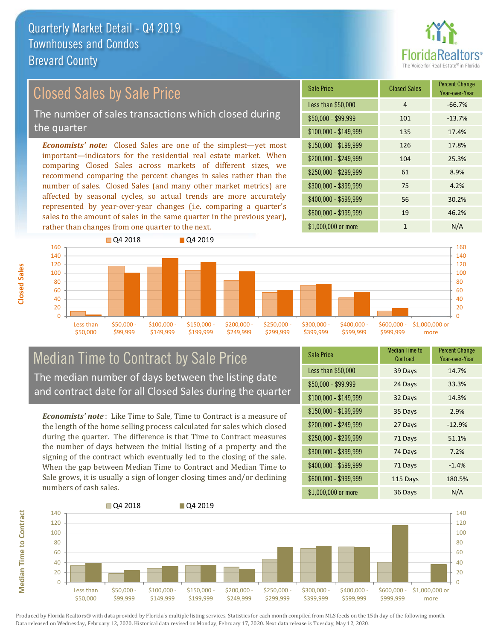

## Closed Sales by Sale Price

The number of sales transactions which closed during the quarter

*Economists' note:* Closed Sales are one of the simplest—yet most important—indicators for the residential real estate market. When comparing Closed Sales across markets of different sizes, we recommend comparing the percent changes in sales rather than the number of sales. Closed Sales (and many other market metrics) are affected by seasonal cycles, so actual trends are more accurately represented by year-over-year changes (i.e. comparing a quarter's sales to the amount of sales in the same quarter in the previous year), rather than changes from one quarter to the next.

| Sale Price            | <b>Closed Sales</b> | <b>Percent Change</b><br>Year-over-Year |
|-----------------------|---------------------|-----------------------------------------|
| Less than \$50,000    | 4                   | $-66.7%$                                |
| \$50,000 - \$99,999   | 101                 | $-13.7%$                                |
| $$100,000 - $149,999$ | 135                 | 17.4%                                   |
| $$150,000 - $199,999$ | 126                 | 17.8%                                   |
| \$200,000 - \$249,999 | 104                 | 25.3%                                   |
| \$250,000 - \$299,999 | 61                  | 8.9%                                    |
| \$300,000 - \$399,999 | 75                  | 4.2%                                    |
| \$400,000 - \$599,999 | 56                  | 30.2%                                   |
| \$600,000 - \$999,999 | 19                  | 46.2%                                   |
| \$1,000,000 or more   | 1                   | N/A                                     |



#### Median Time to Contract by Sale Price The median number of days between the listing date and contract date for all Closed Sales during the quarter

*Economists' note* : Like Time to Sale, Time to Contract is a measure of the length of the home selling process calculated for sales which closed during the quarter. The difference is that Time to Contract measures the number of days between the initial listing of a property and the signing of the contract which eventually led to the closing of the sale. When the gap between Median Time to Contract and Median Time to Sale grows, it is usually a sign of longer closing times and/or declining numbers of cash sales.

| <b>Sale Price</b>     | Median Time to<br>Contract | <b>Percent Change</b><br>Year-over-Year |
|-----------------------|----------------------------|-----------------------------------------|
| Less than \$50,000    | 39 Days                    | 14.7%                                   |
| $$50,000 - $99,999$   | 24 Days                    | 33.3%                                   |
| $$100,000 - $149,999$ | 32 Days                    | 14.3%                                   |
| $$150,000 - $199,999$ | 35 Days                    | 2.9%                                    |
| \$200,000 - \$249,999 | 27 Days                    | $-12.9%$                                |
| \$250,000 - \$299,999 | 71 Days                    | 51.1%                                   |
| \$300,000 - \$399,999 | 74 Days                    | 7.2%                                    |
| $$400,000 - $599,999$ | 71 Days                    | $-1.4%$                                 |
| \$600,000 - \$999,999 | 115 Days                   | 180.5%                                  |
| \$1,000,000 or more   | 36 Days                    | N/A                                     |

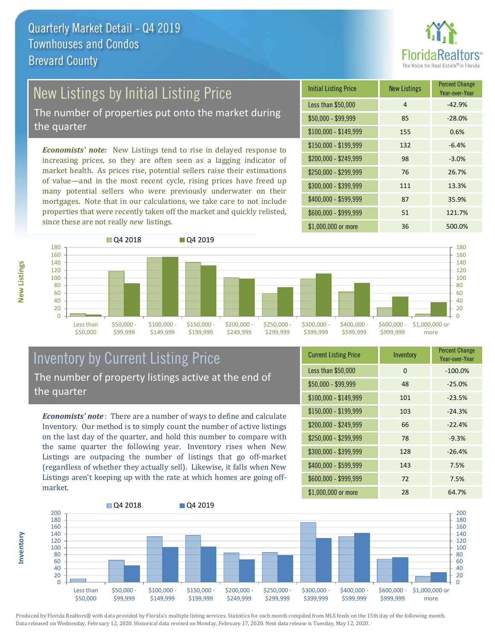

## New Listings by Initial Listing Price

The number of properties put onto the market during the quarter

*Economists' note:* New Listings tend to rise in delayed response to increasing prices, so they are often seen as a lagging indicator of market health. As prices rise, potential sellers raise their estimations of value—and in the most recent cycle, rising prices have freed up many potential sellers who were previously underwater on their mortgages. Note that in our calculations, we take care to not include properties that were recently taken off the market and quickly relisted, since these are not really *new* listings.





#### Inventory by Current Listing Price The number of property listings active at the end of the quarter

*Economists' note* : There are a number of ways to define and calculate Inventory. Our method is to simply count the number of active listings on the last day of the quarter, and hold this number to compare with the same quarter the following year. Inventory rises when New Listings are outpacing the number of listings that go off-market (regardless of whether they actually sell). Likewise, it falls when New Listings aren't keeping up with the rate at which homes are going offmarket.

| <b>Current Listing Price</b> | Inventory | <b>Percent Change</b><br>Year-over-Year |
|------------------------------|-----------|-----------------------------------------|
| Less than \$50,000           | 0         | $-100.0%$                               |
| $$50,000 - $99,999$          | 48        | $-25.0%$                                |
| $$100,000 - $149,999$        | 101       | $-23.5%$                                |
| $$150,000 - $199,999$        | 103       | $-24.3%$                                |
| \$200,000 - \$249,999        | 66        | $-22.4%$                                |
| \$250,000 - \$299,999        | 78        | $-9.3%$                                 |
| \$300,000 - \$399,999        | 128       | $-26.4%$                                |
| $$400,000 - $599,999$        | 143       | 7.5%                                    |
| \$600,000 - \$999,999        | 72        | 7.5%                                    |
| \$1,000,000 or more          | 28        | 64.7%                                   |



Produced by Florida Realtors® with data provided by Florida's multiple listing services. Statistics for each month compiled from MLS feeds on the 15th day of the following month. Data released on Wednesday, February 12, 2020. Historical data revised on Monday, February 17, 2020. Next data release is Tuesday, May 12, 2020.

**Inventory**